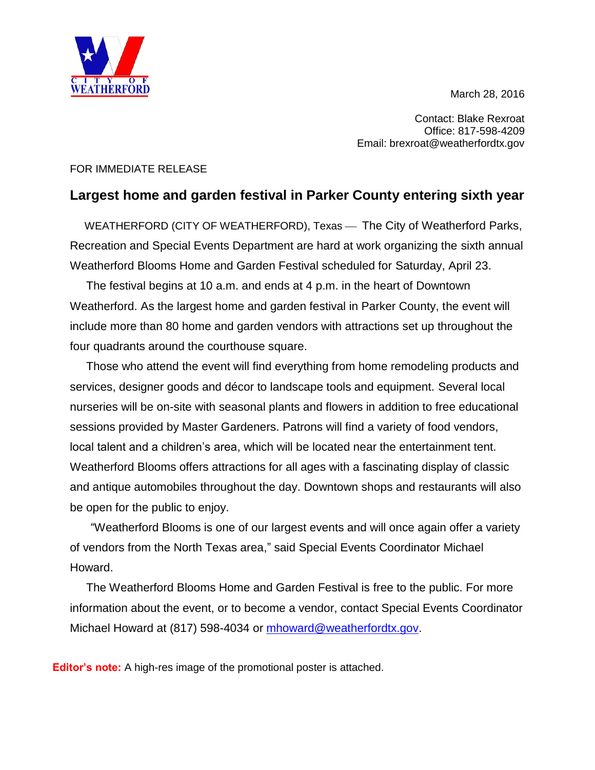March 28, 2016



Contact: Blake Rexroat Office: 817-598-4209 Email: brexroat@weatherfordtx.gov

## FOR IMMEDIATE RELEASE

## **Largest home and garden festival in Parker County entering sixth year**

WEATHERFORD (CITY OF WEATHERFORD), Texas - The City of Weatherford Parks, Recreation and Special Events Department are hard at work organizing the sixth annual Weatherford Blooms Home and Garden Festival scheduled for Saturday, April 23.

 The festival begins at 10 a.m. and ends at 4 p.m. in the heart of Downtown Weatherford. As the largest home and garden festival in Parker County, the event will include more than 80 home and garden vendors with attractions set up throughout the four quadrants around the courthouse square.

 Those who attend the event will find everything from home remodeling products and services, designer goods and décor to landscape tools and equipment. Several local nurseries will be on-site with seasonal plants and flowers in addition to free educational sessions provided by Master Gardeners. Patrons will find a variety of food vendors, local talent and a children's area, which will be located near the entertainment tent. Weatherford Blooms offers attractions for all ages with a fascinating display of classic and antique automobiles throughout the day. Downtown shops and restaurants will also be open for the public to enjoy.

"Weatherford Blooms is one of our largest events and will once again offer a variety of vendors from the North Texas area," said Special Events Coordinator Michael Howard.

 The Weatherford Blooms Home and Garden Festival is free to the public. For more information about the event, or to become a vendor, contact Special Events Coordinator Michael Howard at (817) 598-4034 or [mhoward@weatherfordtx.gov.](mailto:mhoward@weatherfordtx.gov)

**Editor's note:** A high-res image of the promotional poster is attached.